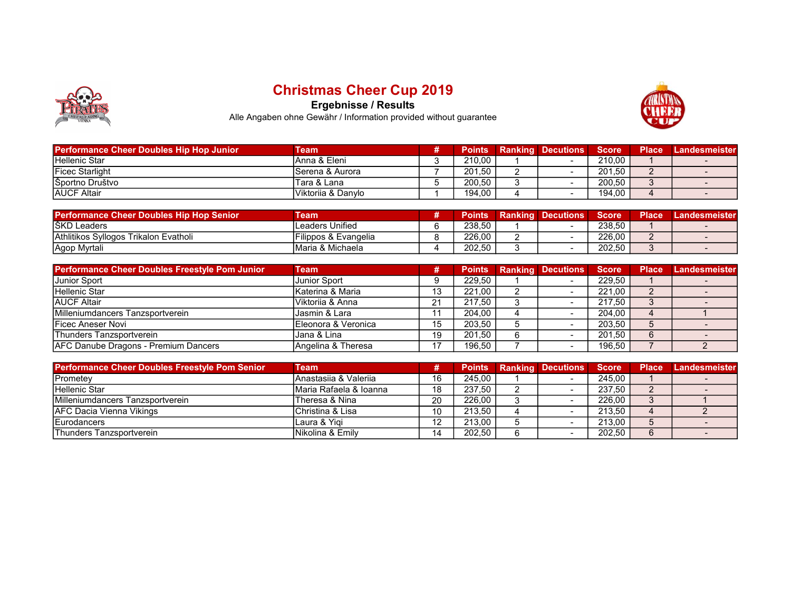

## Christmas Cheer Cup 2019

Ergebnisse / Results



Alle Angaben ohne Gewähr / Information provided without guarantee

| <b>Performance Cheer Doubles Hip Hop Junior</b> | Team                | <b>Points</b> | <b>Ranking Decutions</b> | <b>Score</b> | Place | Landesmeister |
|-------------------------------------------------|---------------------|---------------|--------------------------|--------------|-------|---------------|
| <b>Hellenic Star</b>                            | Anna & Eleni        | 210.00        | $\overline{\phantom{0}}$ | 210,00       |       |               |
| <b>Ficec Starlight</b>                          | Serena & Aurora     | 201.50        |                          | 201.50       |       |               |
| Športno Društvo                                 | Tara & Lana         | 200.50        |                          | 200.50       |       |               |
| <b>IAUCF Altair</b>                             | IViktoriia & Danvlo | 194.00        | -                        | 194,00       |       |               |

| <b>Performance Cheer Doubles Hip Hop Senior</b> | <b>Team</b>                      | Points | <b>Ranking Decutions</b> | Score  | <b>Place</b> | Landesmeister |
|-------------------------------------------------|----------------------------------|--------|--------------------------|--------|--------------|---------------|
| IŠKD Leaders                                    | Leaders Unified                  | 238.50 |                          | 238.50 |              |               |
| Athlitikos Syllogos Trikalon Evatholi           | <b>IFilippos &amp; Evangelia</b> | 226.00 |                          | 226.00 |              |               |
| <sup>I</sup> Agop Myrtali                       | <b>IMaria &amp; Michaela</b>     | 202,50 |                          | 202,50 |              |               |

| <b>Performance Cheer Doubles Freestyle Pom Junior</b> | Team                 | #          | <b>Points</b> | <b>Ranking Decutions</b> | <b>Score</b> | <b>Place</b> | Landesmeister |
|-------------------------------------------------------|----------------------|------------|---------------|--------------------------|--------------|--------------|---------------|
| <b>Junior Sport</b>                                   | <b>Junior Sport</b>  |            | 229.50        |                          | 229.50       |              |               |
| Hellenic Star                                         | Katerina & Maria     | 13         | 221.00        |                          | 221.00       |              |               |
| <b>AUCF Altair</b>                                    | Viktorija & Anna     | $^{\circ}$ | 217.50        |                          | 217.50       |              |               |
| Milleniumdancers Tanzsportverein                      | Jasmin & Lara        |            | 204.00        |                          | 204.00       |              |               |
| <b>IFicec Aneser Novi</b>                             | IEleonora & Veronica | 15         | 203.50        |                          | 203.50       |              |               |
| Thunders Tanzsportverein                              | Jana & Lina          | 19         | 201.50        |                          | 201.50       |              |               |
| AFC Danube Dragons - Premium Dancers                  | Angelina & Theresa   | 17         | 196.50        |                          | 196,50       |              |               |

| <b>Performance Cheer Doubles Freestyle Pom Senior</b> | Team                   |    | <b>Points</b> | <b>Ranking Decutions</b> | Score <b>1</b> | <b>Place</b> | Landesmeister |
|-------------------------------------------------------|------------------------|----|---------------|--------------------------|----------------|--------------|---------------|
| Prometey                                              | IAnastasiia & Valeriia | 16 | 245.00        |                          | 245.00         |              |               |
| <b>Hellenic Star</b>                                  | Maria Rafaela & Ioanna | 18 | 237.50        |                          | 237.50         |              |               |
| Milleniumdancers Tanzsportverein                      | Theresa & Nina         | 20 | 226.00        |                          | 226.00         |              |               |
| <b>AFC Dacia Vienna Vikings</b>                       | Christina & Lisa       | 10 | 213.50        |                          | 213,50         |              |               |
| Eurodancers                                           | Laura & Yigi           | 12 | 213.00        |                          | 213,00         |              |               |
| lThunders Tanzsportverein                             | INikolina & Emilv      | 14 | 202.50        |                          | 202,50         | 6            |               |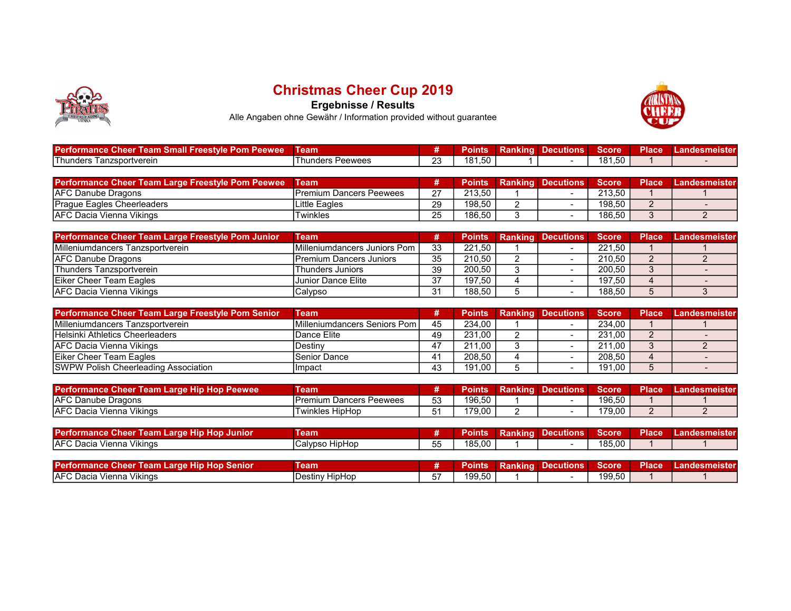

## Christmas Cheer Cup 2019

Ergebnisse / Results



Alle Angaben ohne Gewähr / Information provided without guarantee

| <b>Performance</b><br>Team Small Freestvle Pom Peewee<br>' uneer | Team               |             | 'OING.              | Ranking | <b>Decutions</b> | <b>Score</b> | <b>Place</b> | Landesmeisteri |
|------------------------------------------------------------------|--------------------|-------------|---------------------|---------|------------------|--------------|--------------|----------------|
| <b>Thunders</b><br>⊦ Tanzsportverein                             | hunders<br>Peewees | $\sim$<br>∼ | 50<br>181<br>101.00 |         |                  | 181.50       |              |                |

| Performance Cheer Team Large Freestyle Pom Peewee | Team                     |        |        | <b>Points Ranking Decutions</b> | <b>Score</b> | <b>Place</b> | Landesmeister |
|---------------------------------------------------|--------------------------|--------|--------|---------------------------------|--------------|--------------|---------------|
| <b>IAFC Danube Dragons</b>                        | IPremium Dancers Peewees | $\sim$ | 213.50 |                                 | 213.50       |              |               |
| Praque Eagles Cheerleaders                        | ∟ittle Eaɑles            | 29     | 198.50 |                                 | 198.50       |              |               |
| IAFC Dacia Vienna Vikings                         | Twinkles                 | 25     | 186.50 |                                 | 186,50       |              |               |

| <b>Performance Cheer Team Large Freestyle Pom Junior</b> | Team                            |    |        | <b>Points Ranking Decutions Score</b> |        | <b>Place</b> | Landesmeister |
|----------------------------------------------------------|---------------------------------|----|--------|---------------------------------------|--------|--------------|---------------|
| Milleniumdancers Tanzsportverein                         | Milleniumdancers Juniors Pom I  | 33 | 221.50 |                                       | 221.50 |              |               |
| <b>IAFC Danube Dragons</b>                               | <b>IPremium Dancers Juniors</b> | 35 | 210.50 |                                       | 210.50 |              |               |
| <b>Thunders Tanzsportverein</b>                          | Thunders Juniors                | 39 | 200.50 |                                       | 200.50 |              |               |
| <b>IEiker Cheer Team Eagles</b>                          | Junior Dance Elite              | 37 | 197.50 |                                       | 197.50 |              |               |
| <b>AFC Dacia Vienna Vikings</b>                          | Calypso                         | 21 | 188.50 |                                       | 188,50 |              |               |

| Performance Cheer Team Large Freestyle Pom Senior | Team                            |    | <b>Points</b> | <b>Ranking Decutions Score</b> |        | <b>Place</b> | Landesmeister |
|---------------------------------------------------|---------------------------------|----|---------------|--------------------------------|--------|--------------|---------------|
| <b>IMilleniumdancers Tanzsportverein</b>          | IMilleniumdancers Seniors Pom I | 45 | 234.00        |                                | 234.00 |              |               |
| Helsinki Athletics Cheerleaders                   | 'Dance Elite                    | 49 | 231.00        |                                | 231.00 |              |               |
| <b>AFC Dacia Vienna Vikings</b>                   | Destiny                         | 17 | 211.00        |                                | 211.00 |              |               |
| Eiker Cheer Team Eagles                           | Senior Dance                    |    | 208.50        |                                | 208,50 |              |               |
| <b>SWPW Polish Cheerleading Association</b>       | Impact                          | 43 | 191.00        |                                | 191.00 |              |               |

| Performance Cheer Team Large Hip Hop Peewee | ⊺eam                     |          | Points' | Ranking | <b>Decutions</b> | <b>Score</b> | <b>Place</b> | Landesmeister |
|---------------------------------------------|--------------------------|----------|---------|---------|------------------|--------------|--------------|---------------|
| <b>AFC Danube Dragons</b>                   | IPremium Dancers Peewees | 53<br>ບບ | 196,50  |         |                  | 196,50       |              |               |
| <b>IAFC Dacia Vienna Vikings</b>            | 'Twinkles HipHop         |          | 179.00  |         |                  | 179.00       |              |               |

| <b>Performance Cheer Team Large Hip Hop Junior</b> | eam               |                    | ′oints | Ranking Decutions | <b>Score</b> | <b>Place</b> | Landesmeister. |
|----------------------------------------------------|-------------------|--------------------|--------|-------------------|--------------|--------------|----------------|
| <b>IAFC Dacia Vienna Vikings</b>                   | HipHop<br>Calvpso | $- -$<br>へへ<br>ັບບ | 185.00 |                   | 185,00       |              |                |

| <b>Performance Cheer Team L</b><br><b>Large Hip Hop Senior</b> | ⊺eam                            |       | roms   | Ranking | Decutions | <b>Score</b> | <b>Place</b> | Landesmeister |
|----------------------------------------------------------------|---------------------------------|-------|--------|---------|-----------|--------------|--------------|---------------|
| <b>IAFC</b> Dacia<br>Vikinas<br>. Vienna                       | ' HipHop<br>Destin <sup>®</sup> | $- -$ | 199.50 |         |           | 199,50       |              |               |